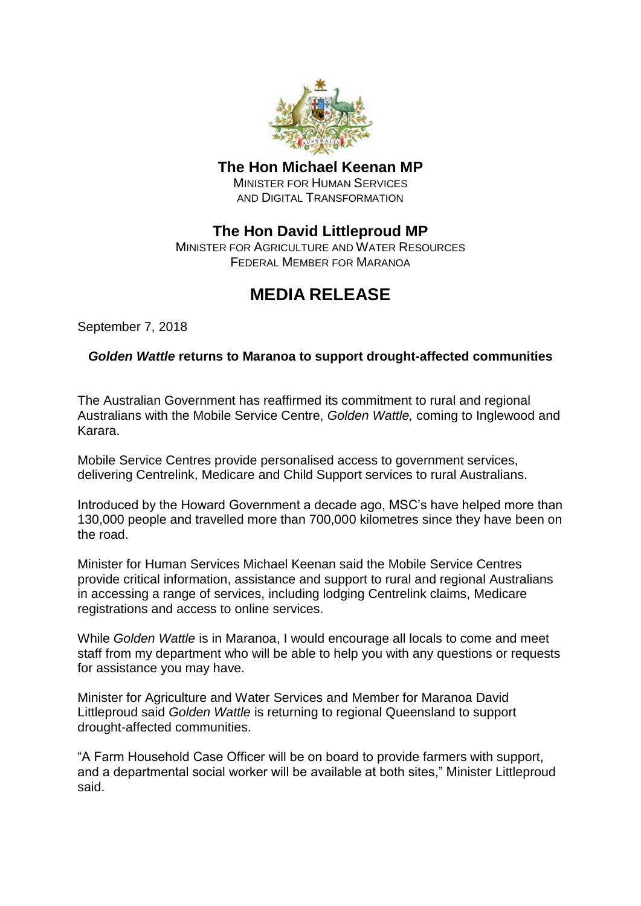

### **The Hon Michael Keenan MP**

MINISTER FOR HUMAN SERVICES AND DIGITAL TRANSFORMATION

## **The Hon David Littleproud MP**

MINISTER FOR AGRICULTURE AND WATER RESOURCES FEDERAL MEMBER FOR MARANOA

# **MEDIA RELEASE**

September 7, 2018

#### *Golden Wattle* **returns to Maranoa to support drought-affected communities**

The Australian Government has reaffirmed its commitment to rural and regional Australians with the Mobile Service Centre, *Golden Wattle,* coming to Inglewood and Karara.

Mobile Service Centres provide personalised access to government services, delivering Centrelink, Medicare and Child Support services to rural Australians.

Introduced by the Howard Government a decade ago, MSC's have helped more than 130,000 people and travelled more than 700,000 kilometres since they have been on the road.

Minister for Human Services Michael Keenan said the Mobile Service Centres provide critical information, assistance and support to rural and regional Australians in accessing a range of services, including lodging Centrelink claims, Medicare registrations and access to online services.

While *Golden Wattle* is in Maranoa, I would encourage all locals to come and meet staff from my department who will be able to help you with any questions or requests for assistance you may have.

Minister for Agriculture and Water Services and Member for Maranoa David Littleproud said *Golden Wattle* is returning to regional Queensland to support drought-affected communities.

"A Farm Household Case Officer will be on board to provide farmers with support, and a departmental social worker will be available at both sites," Minister Littleproud said.